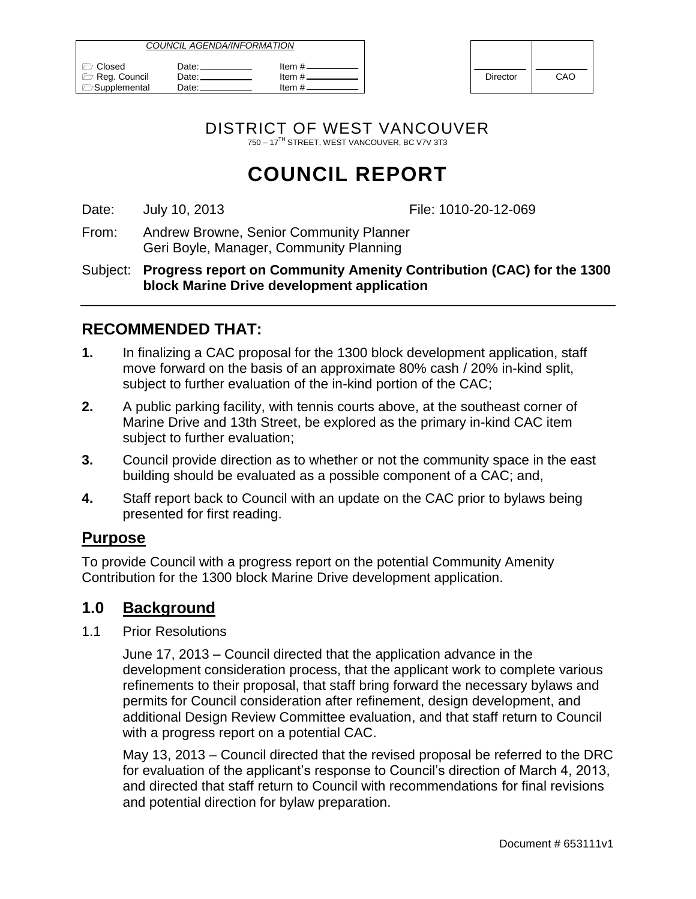| COUNCIL AGENDA/INFORMATION                               |                          |                              |          |     |
|----------------------------------------------------------|--------------------------|------------------------------|----------|-----|
| $\sqrt{2}$ Closed<br>Reg. Council<br><b>Supplemental</b> | Date:⊥<br>Date:<br>∴Date | ltem #.<br>ltem #<br>ltem #. | Director | CAO |

| <b>Director</b> | CAO |
|-----------------|-----|

DISTRICT OF WEST VANCOUVER 750 – 17TH STREET, WEST VANCOUVER, BC V7V 3T3

# **COUNCIL REPORT**

Date: July 10, 2013 **File: 1010-20-12-069** 

From: Andrew Browne, Senior Community Planner Geri Boyle, Manager, Community Planning

Subject: **Progress report on Community Amenity Contribution (CAC) for the 1300 block Marine Drive development application**

# **RECOMMENDED THAT:**

- **1.** In finalizing a CAC proposal for the 1300 block development application, staff move forward on the basis of an approximate 80% cash / 20% in-kind split, subject to further evaluation of the in-kind portion of the CAC;
- **2.** A public parking facility, with tennis courts above, at the southeast corner of Marine Drive and 13th Street, be explored as the primary in-kind CAC item subject to further evaluation;
- **3.** Council provide direction as to whether or not the community space in the east building should be evaluated as a possible component of a CAC; and,
- **4.** Staff report back to Council with an update on the CAC prior to bylaws being presented for first reading.

## **Purpose**

To provide Council with a progress report on the potential Community Amenity Contribution for the 1300 block Marine Drive development application.

## **1.0 Background**

1.1 Prior Resolutions

June 17, 2013 – Council directed that the application advance in the development consideration process, that the applicant work to complete various refinements to their proposal, that staff bring forward the necessary bylaws and permits for Council consideration after refinement, design development, and additional Design Review Committee evaluation, and that staff return to Council with a progress report on a potential CAC.

May 13, 2013 – Council directed that the revised proposal be referred to the DRC for evaluation of the applicant's response to Council's direction of March 4, 2013, and directed that staff return to Council with recommendations for final revisions and potential direction for bylaw preparation.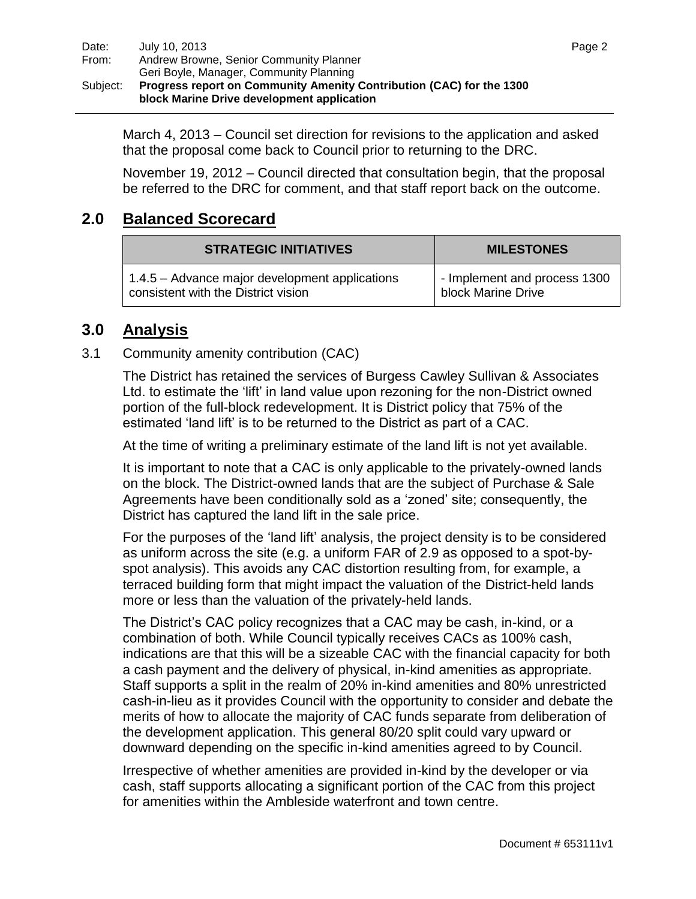March 4, 2013 – Council set direction for revisions to the application and asked that the proposal come back to Council prior to returning to the DRC.

November 19, 2012 – Council directed that consultation begin, that the proposal be referred to the DRC for comment, and that staff report back on the outcome.

## **2.0 Balanced Scorecard**

| <b>STRATEGIC INITIATIVES</b>                   | <b>MILESTONES</b>            |  |
|------------------------------------------------|------------------------------|--|
| 1.4.5 – Advance major development applications | - Implement and process 1300 |  |
| consistent with the District vision            | block Marine Drive           |  |

## **3.0 Analysis**

#### 3.1 Community amenity contribution (CAC)

The District has retained the services of Burgess Cawley Sullivan & Associates Ltd. to estimate the 'lift' in land value upon rezoning for the non-District owned portion of the full-block redevelopment. It is District policy that 75% of the estimated 'land lift' is to be returned to the District as part of a CAC.

At the time of writing a preliminary estimate of the land lift is not yet available.

It is important to note that a CAC is only applicable to the privately-owned lands on the block. The District-owned lands that are the subject of Purchase & Sale Agreements have been conditionally sold as a 'zoned' site; consequently, the District has captured the land lift in the sale price.

For the purposes of the 'land lift' analysis, the project density is to be considered as uniform across the site (e.g. a uniform FAR of 2.9 as opposed to a spot-byspot analysis). This avoids any CAC distortion resulting from, for example, a terraced building form that might impact the valuation of the District-held lands more or less than the valuation of the privately-held lands.

The District's CAC policy recognizes that a CAC may be cash, in-kind, or a combination of both. While Council typically receives CACs as 100% cash, indications are that this will be a sizeable CAC with the financial capacity for both a cash payment and the delivery of physical, in-kind amenities as appropriate. Staff supports a split in the realm of 20% in-kind amenities and 80% unrestricted cash-in-lieu as it provides Council with the opportunity to consider and debate the merits of how to allocate the majority of CAC funds separate from deliberation of the development application. This general 80/20 split could vary upward or downward depending on the specific in-kind amenities agreed to by Council.

Irrespective of whether amenities are provided in-kind by the developer or via cash, staff supports allocating a significant portion of the CAC from this project for amenities within the Ambleside waterfront and town centre.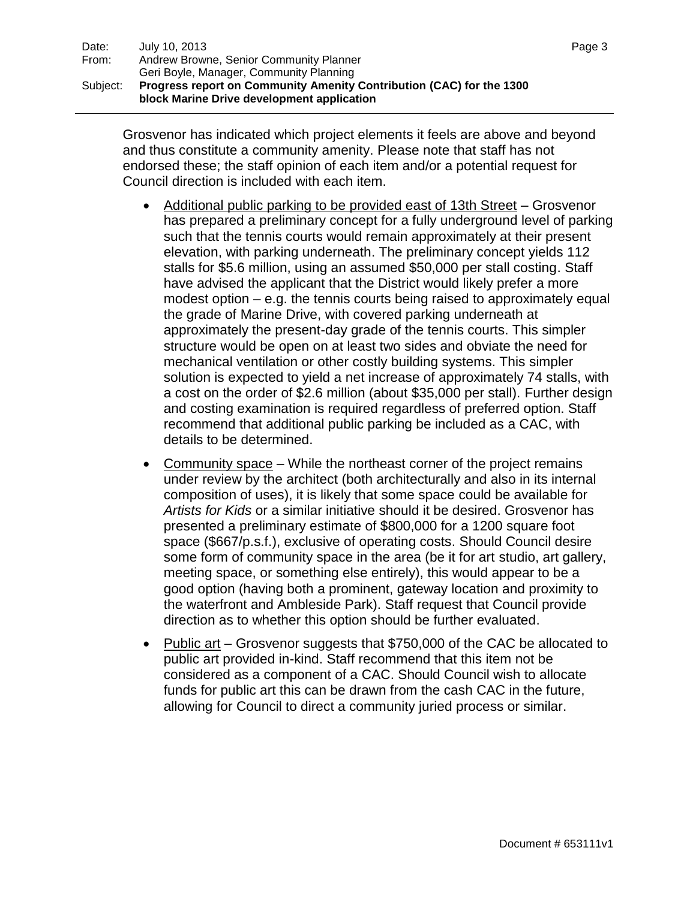Grosvenor has indicated which project elements it feels are above and beyond and thus constitute a community amenity. Please note that staff has not endorsed these; the staff opinion of each item and/or a potential request for Council direction is included with each item.

- Additional public parking to be provided east of 13th Street Grosvenor has prepared a preliminary concept for a fully underground level of parking such that the tennis courts would remain approximately at their present elevation, with parking underneath. The preliminary concept yields 112 stalls for \$5.6 million, using an assumed \$50,000 per stall costing. Staff have advised the applicant that the District would likely prefer a more modest option – e.g. the tennis courts being raised to approximately equal the grade of Marine Drive, with covered parking underneath at approximately the present-day grade of the tennis courts. This simpler structure would be open on at least two sides and obviate the need for mechanical ventilation or other costly building systems. This simpler solution is expected to yield a net increase of approximately 74 stalls, with a cost on the order of \$2.6 million (about \$35,000 per stall). Further design and costing examination is required regardless of preferred option. Staff recommend that additional public parking be included as a CAC, with details to be determined.
- Community space While the northeast corner of the project remains under review by the architect (both architecturally and also in its internal composition of uses), it is likely that some space could be available for *Artists for Kids* or a similar initiative should it be desired. Grosvenor has presented a preliminary estimate of \$800,000 for a 1200 square foot space (\$667/p.s.f.), exclusive of operating costs. Should Council desire some form of community space in the area (be it for art studio, art gallery, meeting space, or something else entirely), this would appear to be a good option (having both a prominent, gateway location and proximity to the waterfront and Ambleside Park). Staff request that Council provide direction as to whether this option should be further evaluated.
- Public art Grosvenor suggests that \$750,000 of the CAC be allocated to public art provided in-kind. Staff recommend that this item not be considered as a component of a CAC. Should Council wish to allocate funds for public art this can be drawn from the cash CAC in the future, allowing for Council to direct a community juried process or similar.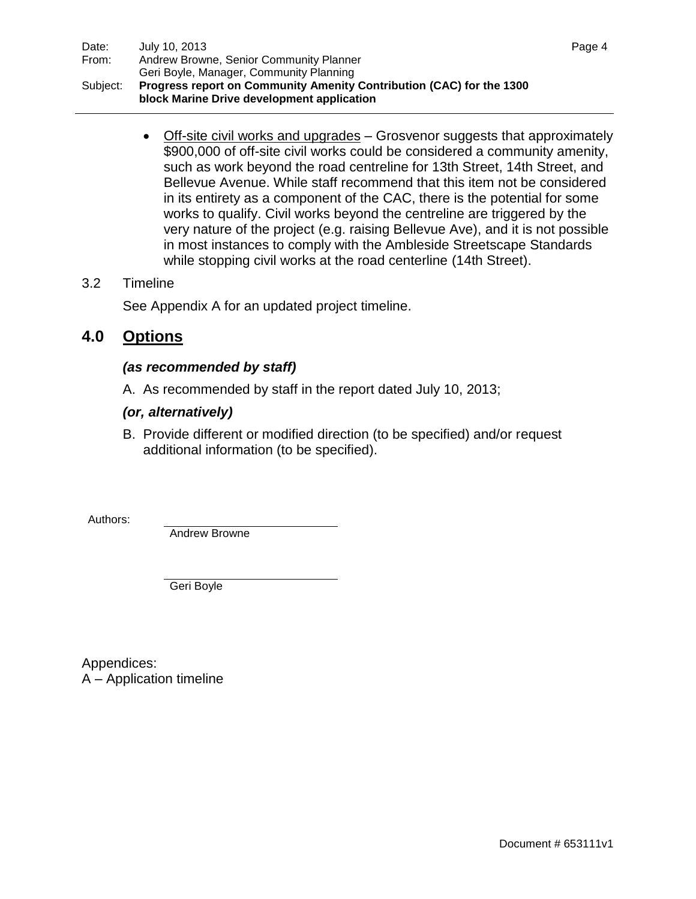• Off-site civil works and upgrades – Grosvenor suggests that approximately \$900,000 of off-site civil works could be considered a community amenity, such as work beyond the road centreline for 13th Street, 14th Street, and Bellevue Avenue. While staff recommend that this item not be considered in its entirety as a component of the CAC, there is the potential for some works to qualify. Civil works beyond the centreline are triggered by the very nature of the project (e.g. raising Bellevue Ave), and it is not possible in most instances to comply with the Ambleside Streetscape Standards while stopping civil works at the road centerline (14th Street).

## 3.2 Timeline

See Appendix A for an updated project timeline.

## **4.0 Options**

### *(as recommended by staff)*

A. As recommended by staff in the report dated July 10, 2013;

### *(or, alternatively)*

B. Provide different or modified direction (to be specified) and/or request additional information (to be specified).

Authors:

Andrew Browne

Geri Boyle

Appendices: A – Application timeline